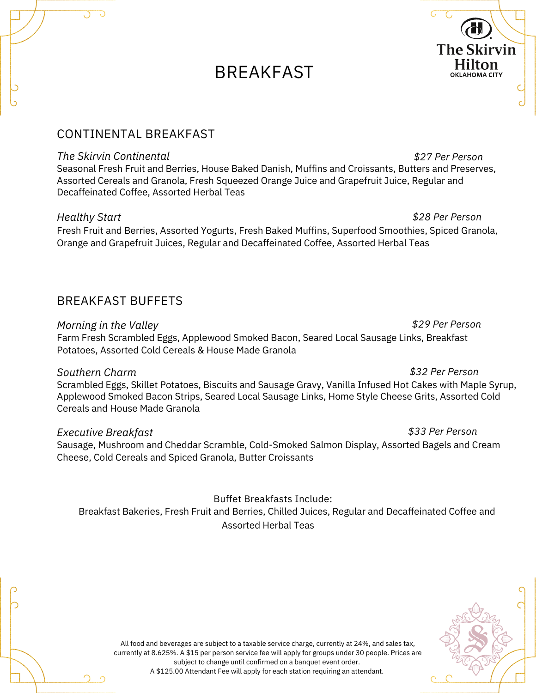# **BREAKFAST**



#### *The Skirvin Continental*

Seasonal Fresh Fruit and Berries, House Baked Danish, Muffins and Croissants, Butters and Preserves, Assorted Cereals and Granola, Fresh Squeezed Orange Juice and Grapefruit Juice, Regular and Decaffeinated Coffee, Assorted Herbal Teas

#### *Healthy Start*

Fresh Fruit and Berries, Assorted Yogurts, Fresh Baked Muffins, Superfood Smoothies, Spiced Granola, Orange and Grapefruit Juices, Regular and Decaffeinated Coffee, Assorted Herbal Teas

## BREAKFAST BUFFETS

*Morning in the Valley*

Farm Fresh Scrambled Eggs, Applewood Smoked Bacon, Seared Local Sausage Links, Breakfast Potatoes, Assorted Cold Cereals & House Made Granola

### *Southern Charm*

Scrambled Eggs, Skillet Potatoes, Biscuits and Sausage Gravy, Vanilla Infused Hot Cakes with Maple Syrup, Applewood Smoked Bacon Strips, Seared Local Sausage Links, Home Style Cheese Grits, Assorted Cold Cereals and House Made Granola

### *Executive Breakfast*

Sausage, Mushroom and Cheddar Scramble, Cold-Smoked Salmon Display, Assorted Bagels and Cream Cheese, Cold Cereals and Spiced Granola, Butter Croissants

## Breakfast Bakeries, Fresh Fruit and Berries, Chilled Juices, Regular and Decaffeinated Coffee and Assorted Herbal Teas Buffet Breakfasts Include:



*\$33 Per Person*

*\$32 Per Person*

*\$29 Per Person*

*\$28 Per Person*

*\$27 Per Person*

**The Skirvin Hilton OKLAHOMA CITY** 

All food and beverages are subject to a taxable service charge, currently at 24%, and sales tax, currently at 8.625%. A \$15 per person service fee will apply for groups under 30 people. Prices are subject to change until confirmed on a banquet event order. A \$125.00 Attendant Fee will apply for each station requiring an attendant.